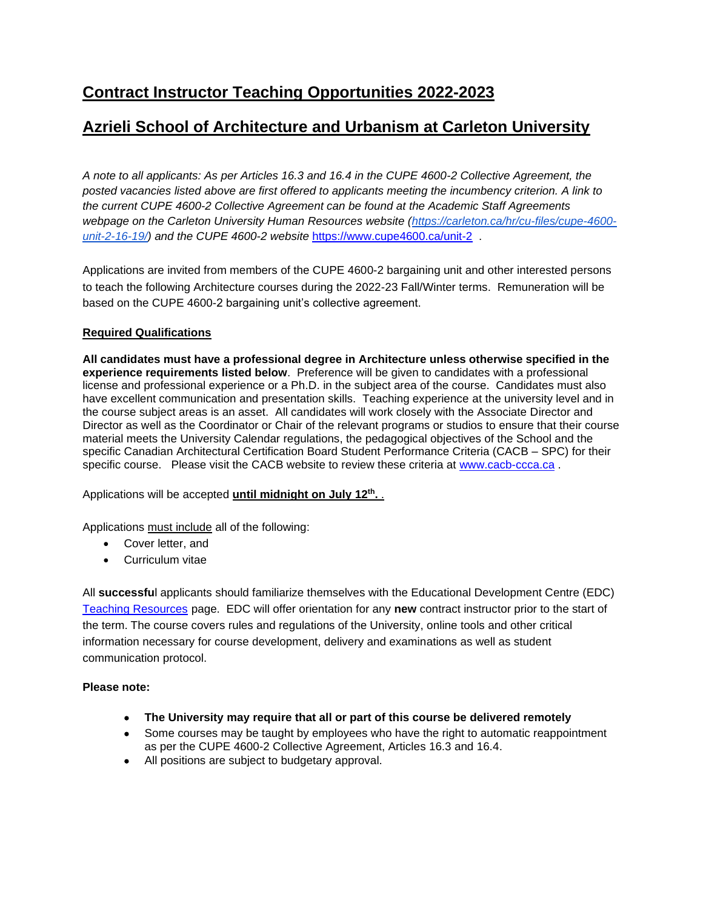# **Azrieli School of Architecture and Urbanism at Carleton University**

*A note to all applicants: As per Articles 16.3 and 16.4 in the CUPE 4600-2 Collective Agreement, the posted vacancies listed above are first offered to applicants meeting the incumbency criterion. A link to the current CUPE 4600-2 Collective Agreement can be found at the Academic Staff Agreements*  webpage on the Carleton University Human Resources website [\(https://carleton.ca/hr/cu-files/cupe-4600](https://carleton.ca/hr/cu-files/cupe-4600-unit-2-16-19/) *[unit-2-16-19/\)](https://carleton.ca/hr/cu-files/cupe-4600-unit-2-16-19/) and the CUPE 4600-2 website* <https://www.cupe4600.ca/unit-2> .

Applications are invited from members of the CUPE 4600-2 bargaining unit and other interested persons to teach the following Architecture courses during the 2022-23 Fall/Winter terms. Remuneration will be based on the CUPE 4600-2 bargaining unit's collective agreement.

# **Required Qualifications**

**All candidates must have a professional degree in Architecture unless otherwise specified in the experience requirements listed below**. Preference will be given to candidates with a professional license and professional experience or a Ph.D. in the subject area of the course. Candidates must also have excellent communication and presentation skills. Teaching experience at the university level and in the course subject areas is an asset. All candidates will work closely with the Associate Director and Director as well as the Coordinator or Chair of the relevant programs or studios to ensure that their course material meets the University Calendar regulations, the pedagogical objectives of the School and the specific Canadian Architectural Certification Board Student Performance Criteria (CACB – SPC) for their specific course. Please visit the CACB website to review these criteria at [www.cacb-ccca.ca](http://www.cacb-ccca.ca/).

Applications will be accepted **until midnight on July 12th .** .

Applications must include all of the following:

- Cover letter, and
- Curriculum vitae

All **successfu**l applicants should familiarize themselves with the Educational Development Centre (EDC) [Teaching Resources](https://carleton.ca/edc/teachingresources/) page. EDC will offer orientation for any **new** contract instructor prior to the start of the term. The course covers rules and regulations of the University, online tools and other critical information necessary for course development, delivery and examinations as well as student communication protocol.

### **Please note:**

- **The University may require that all or part of this course be delivered remotely**
- Some courses may be taught by employees who have the right to automatic reappointment as per the CUPE 4600-2 Collective Agreement, Articles 16.3 and 16.4.
- All positions are subject to budgetary approval.